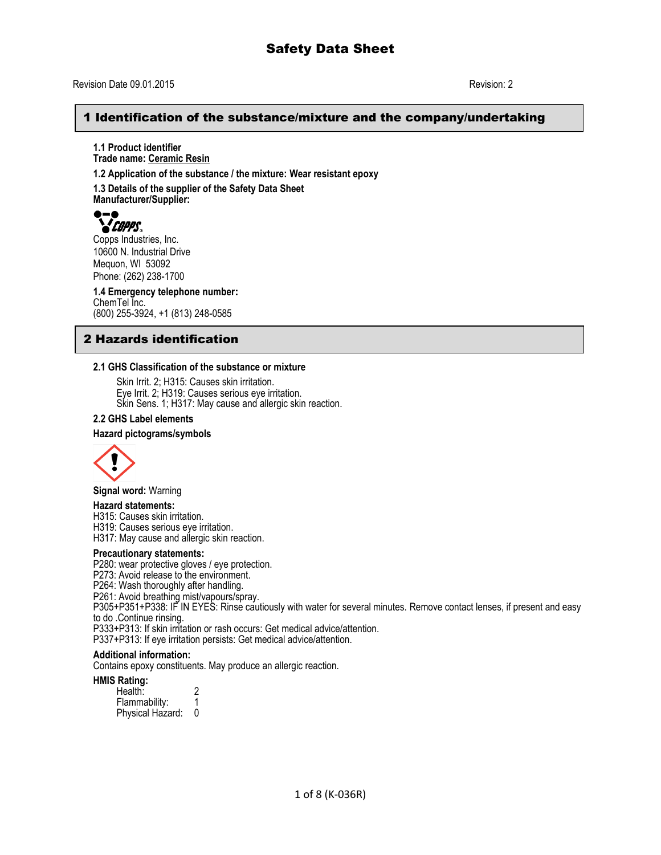## Revision Date 09.01.2015 Revision: 2

## 1 Identification of the substance/mixture and the company/undertaking

**1.1 Product identifier Trade name: Ceramic Resin**

**1.2 Application of the substance / the mixture: Wear resistant epoxy**

**1.3 Details of the supplier of the Safety Data Sheet Manufacturer/Supplier:**



Copps Industries, Inc. 10600 N. Industrial Drive Mequon, WI 53092 Phone: (262) 238-1700

**1.4 Emergency telephone number:** ChemTel Inc. (800) 255-3924, +1 (813) 248-0585

# 2 Hazards identification

### **2.1 GHS Classification of the substance or mixture**

Skin Irrit. 2; H315: Causes skin irritation. Eye Irrit. 2; H319: Causes serious eye irritation. Skin Sens. 1; H317: May cause and allergic skin reaction.

#### **2.2 GHS Label elements**

#### **Hazard pictograms/symbols**



**Signal word:** Warning

#### **Hazard statements:**

H315: Causes skin irritation.

H319: Causes serious eye irritation.

H317: May cause and allergic skin reaction.

#### **Precautionary statements:**

P280: wear protective gloves / eye protection.

P273: Avoid release to the environment.

P264: Wash thoroughly after handling.

P261: Avoid breathing mist/vapours/spray.

P305+P351+P338: IF IN EYES: Rinse cautiously with water for several minutes. Remove contact lenses, if present and easy to do .Continue rinsing.

P333+P313: If skin irritation or rash occurs: Get medical advice/attention.

P337+P313: If eye irritation persists: Get medical advice/attention.

### **Additional information:**

Contains epoxy constituents. May produce an allergic reaction.

#### **HMIS Rating:**

Health: 2<br>Flammability: 1 Flammability: 1<br>Physical Hazard: 0 Physical Hazard: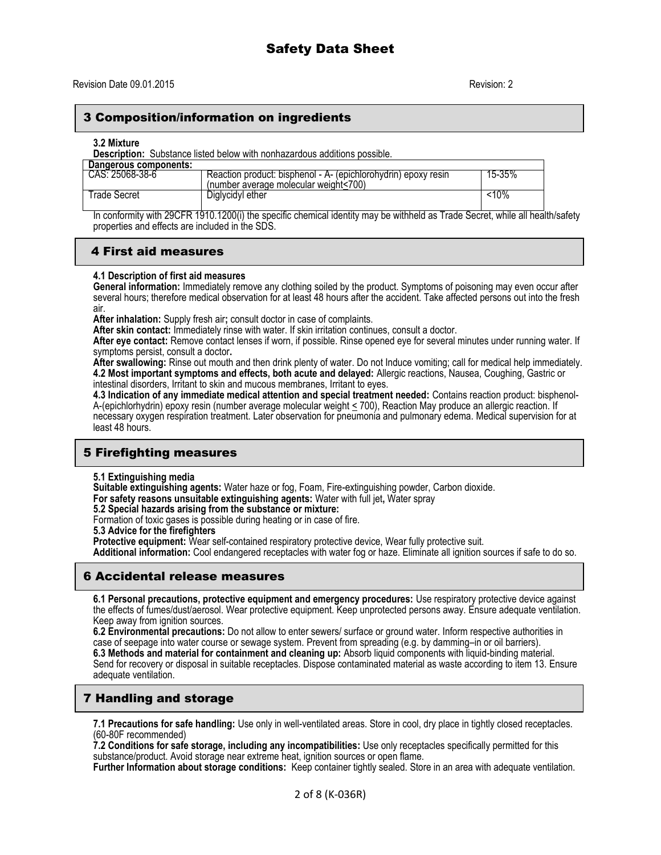## 3 Composition/information on ingredients

#### **3.2 Mixture**

**Description:** Substance listed below with nonhazardous additions possible.

| Dangerous components: |                                                                                                         |        |
|-----------------------|---------------------------------------------------------------------------------------------------------|--------|
| CAS: 25068-38-6       | Reaction product: bisphenol - A- (epichlorohydrin) epoxy resin<br>(number average molecular weight<700) | 15-35% |
| l rade Secret         | Diglycidyl ether                                                                                        | :10%   |

In conformity with 29CFR 1910.1200(i) the specific chemical identity may be withheld as Trade Secret, while all health/safety properties and effects are included in the SDS.

## 4 First aid measures

### **4.1 Description of first aid measures**

**General information:** Immediately remove any clothing soiled by the product. Symptoms of poisoning may even occur after several hours; therefore medical observation for at least 48 hours after the accident. Take affected persons out into the fresh air.

**After inhalation:** Supply fresh air**;** consult doctor in case of complaints.

**After skin contact:** Immediately rinse with water. If skin irritation continues, consult a doctor.

**After eye contact:** Remove contact lenses if worn, if possible. Rinse opened eye for several minutes under running water. If symptoms persist, consult a doctor**.**

**After swallowing:** Rinse out mouth and then drink plenty of water. Do not Induce vomiting; call for medical help immediately. **4.2 Most important symptoms and effects, both acute and delayed:** Allergic reactions, Nausea, Coughing, Gastric or intestinal disorders, Irritant to skin and mucous membranes, Irritant to eyes.

**4.3 Indication of any immediate medical attention and special treatment needed:** Contains reaction product: bisphenol-A-(epichlorhydrin) epoxy resin (number average molecular weight < 700), Reaction May produce an allergic reaction. If necessary oxygen respiration treatment. Later observation for pneumonia and pulmonary edema. Medical supervision for at least 48 hours.

# 5 Firefighting measures

**5.1 Extinguishing media**

**Suitable extinguishing agents:** Water haze or fog, Foam, Fire-extinguishing powder, Carbon dioxide.

**For safety reasons unsuitable extinguishing agents:** Water with full jet**,** Water spray

**5.2 Special hazards arising from the substance or mixture:**

Formation of toxic gases is possible during heating or in case of fire.

**5.3 Advice for the firefighters**

**Protective equipment:** Wear self-contained respiratory protective device, Wear fully protective suit.

**Additional information:** Cool endangered receptacles with water fog or haze. Eliminate all ignition sources if safe to do so.

## 6 Accidental release measures

**6.1 Personal precautions, protective equipment and emergency procedures:** Use respiratory protective device against the effects of fumes/dust/aerosol. Wear protective equipment. Keep unprotected persons away. Ensure adequate ventilation. Keep away from ignition sources.

**6.2 Environmental precautions:** Do not allow to enter sewers/ surface or ground water. Inform respective authorities in case of seepage into water course or sewage system. Prevent from spreading (e.g. by damming–in or oil barriers). **6.3 Methods and material for containment and cleaning up:** Absorb liquid components with liquid-binding material. Send for recovery or disposal in suitable receptacles. Dispose contaminated material as waste according to item 13. Ensure adequate ventilation.

# 7 Handling and storage

**7.1 Precautions for safe handling:** Use only in well-ventilated areas. Store in cool, dry place in tightly closed receptacles. (60-80F recommended)

**7.2 Conditions for safe storage, including any incompatibilities:** Use only receptacles specifically permitted for this substance/product. Avoid storage near extreme heat, ignition sources or open flame.

**Further Information about storage conditions:** Keep container tightly sealed. Store in an area with adequate ventilation.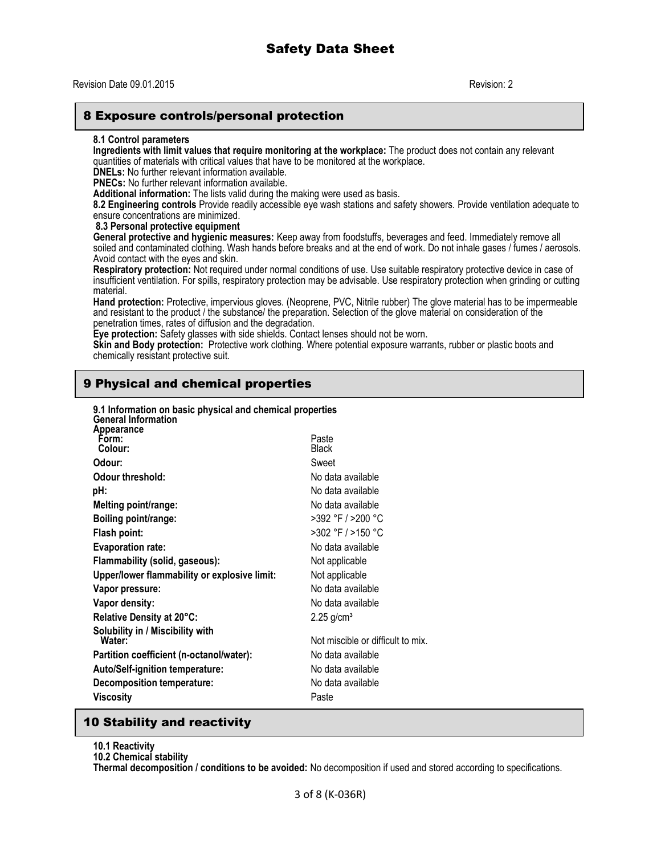## Revision Date 09.01.2015 Revision: 2

## 8 Exposure controls/personal protection

#### **8.1 Control parameters**

**Ingredients with limit values that require monitoring at the workplace:** The product does not contain any relevant quantities of materials with critical values that have to be monitored at the workplace.

**DNELs:** No further relevant information available.

**PNECs:** No further relevant information available.

**Additional information:** The lists valid during the making were used as basis.

**8.2 Engineering controls** Provide readily accessible eye wash stations and safety showers. Provide ventilation adequate to ensure concentrations are minimized.

**8.3 Personal protective equipment**

**General protective and hygienic measures:** Keep away from foodstuffs, beverages and feed. Immediately remove all soiled and contaminated clothing. Wash hands before breaks and at the end of work. Do not inhale gases / fumes / aerosols. Avoid contact with the eyes and skin.

**Respiratory protection:** Not required under normal conditions of use. Use suitable respiratory protective device in case of insufficient ventilation. For spills, respiratory protection may be advisable. Use respiratory protection when grinding or cutting material.

**Hand protection:** Protective, impervious gloves. (Neoprene, PVC, Nitrile rubber) The glove material has to be impermeable and resistant to the product / the substance/ the preparation. Selection of the glove material on consideration of the penetration times, rates of diffusion and the degradation.

**Eye protection:** Safety glasses with side shields. Contact lenses should not be worn.

**Skin and Body protection:** Protective work clothing. Where potential exposure warrants, rubber or plastic boots and chemically resistant protective suit.

# 9 Physical and chemical properties

**9.1 Information on basic physical and chemical properties**

| 9.1 Information on basic privsical and chemical properties<br><b>General Information</b> |                                   |
|------------------------------------------------------------------------------------------|-----------------------------------|
| Appearance<br>Form:<br>Colour:                                                           | Paste<br><b>Black</b>             |
| Odour:                                                                                   | Sweet                             |
| Odour threshold:                                                                         | No data available                 |
| pH:                                                                                      | No data available                 |
| Melting point/range:                                                                     | No data available                 |
| Boiling point/range:                                                                     | $>392$ °F / $>200$ °C             |
| Flash point:                                                                             | >302 °F / >150 °C                 |
| <b>Evaporation rate:</b>                                                                 | No data available                 |
| Flammability (solid, gaseous):                                                           | Not applicable                    |
| Upper/lower flammability or explosive limit:                                             | Not applicable                    |
| Vapor pressure:                                                                          | No data available                 |
| Vapor density:                                                                           | No data available                 |
| Relative Density at 20°C:                                                                | $2.25$ g/cm <sup>3</sup>          |
| Solubility in / Miscibility with<br>Water:                                               | Not miscible or difficult to mix. |
| Partition coefficient (n-octanol/water):                                                 | No data available                 |
| <b>Auto/Self-ignition temperature:</b>                                                   | No data available                 |
| Decomposition temperature:                                                               | No data available                 |
| Viscosity                                                                                | Paste                             |
|                                                                                          |                                   |

## 10 Stability and reactivity

**10.1 Reactivity**

**10.2 Chemical stability**

**Thermal decomposition / conditions to be avoided:** No decomposition if used and stored according to specifications.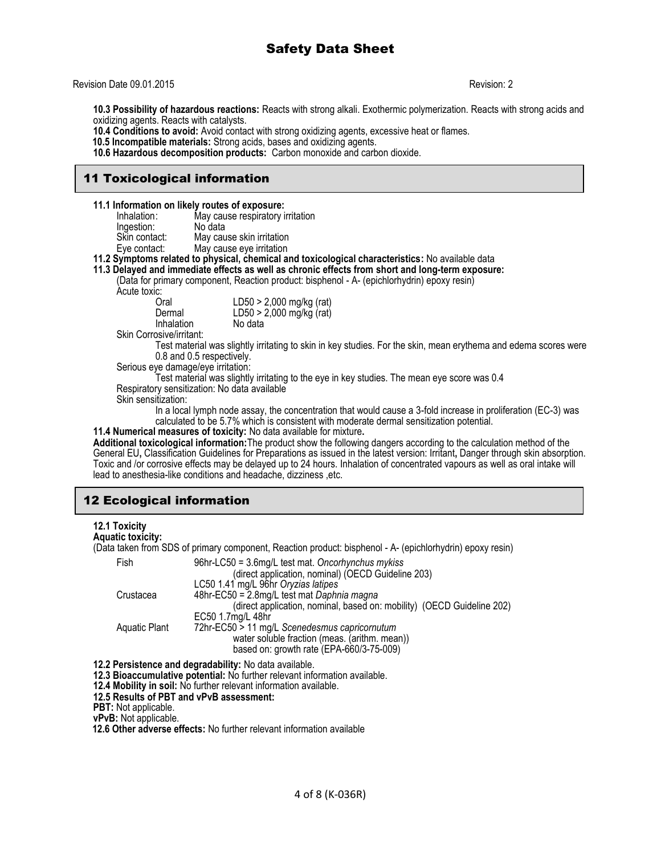#### Revision Date 09.01.2015 Revision: 2

**10.3 Possibility of hazardous reactions:** Reacts with strong alkali. Exothermic polymerization. Reacts with strong acids and oxidizing agents. Reacts with catalysts.

**10.4 Conditions to avoid:** Avoid contact with strong oxidizing agents, excessive heat or flames.

 **10.5 Incompatible materials:** Strong acids, bases and oxidizing agents.

**10.6 Hazardous decomposition products:** Carbon monoxide and carbon dioxide.

# 11 Toxicological information

**11.1 Information on likely routes of exposure:**

| Inhalation:   | May cause respiratory irritation |
|---------------|----------------------------------|
| Ingestion:    | No data                          |
| Skin contact: | May cause skin irritation        |
| Eye contact:  | May cause eye irritation         |
|               |                                  |

**11.2 Symptoms related to physical, chemical and toxicological characteristics:** No available data

**11.3 Delayed and immediate effects as well as chronic effects from short and long-term exposure:** 

(Data for primary component, Reaction product: bisphenol - A- (epichlorhydrin) epoxy resin)

Acute toxic:

| Oral       | $LD50 > 2,000$ mg/kg (rat) |
|------------|----------------------------|
| Dermal     | LD50 > 2,000 mg/kg (rat)   |
| Inhalation | No data                    |

Skin Corrosive/irritant:

Test material was slightly irritating to skin in key studies. For the skin, mean erythema and edema scores were 0.8 and 0.5 respectively.

Serious eye damage/eye irritation:

Test material was slightly irritating to the eye in key studies. The mean eye score was 0.4 Respiratory sensitization: No data available

Skin sensitization:

In a local lymph node assay, the concentration that would cause a 3-fold increase in proliferation (EC-3) was calculated to be 5.7% which is consistent with moderate dermal sensitization potential.

**11.4 Numerical measures of toxicity:** No data available for mixture**.**

**Additional toxicological information:**The product show the following dangers according to the calculation method of the General EU**,** Classification Guidelines for Preparations as issued in the latest version: Irritant**,** Danger through skin absorption. Toxic and /or corrosive effects may be delayed up to 24 hours. Inhalation of concentrated vapours as well as oral intake will lead to anesthesia-like conditions and headache, dizziness ,etc.

# 12 Ecological information

### **12.1 Toxicity**

#### **Aquatic toxicity:**

(Data taken from SDS of primary component, Reaction product: bisphenol - A- (epichlorhydrin) epoxy resin)

| Fish          | $96hr$ -LC50 = 3.6mg/L test mat. Oncorhynchus mykiss<br>(direct application, nominal) (OECD Guideline 203) |
|---------------|------------------------------------------------------------------------------------------------------------|
|               | LC50 1.41 mg/L 96hr Oryzias latipes                                                                        |
|               |                                                                                                            |
| Crustacea     | 48hr-EC50 = 2.8mg/L test mat Daphnia magna                                                                 |
|               | (direct application, nominal, based on: mobility) (OECD Guideline 202)                                     |
|               | EC50 1.7mg/L 48hr                                                                                          |
| Aquatic Plant | 72hr-EC50 > 11 mg/L Scenedesmus capricornutum                                                              |
|               | water soluble fraction (meas. (arithm. mean))                                                              |
|               | based on: growth rate (EPA-660/3-75-009)                                                                   |

**12.2 Persistence and degradability:** No data available.

**12.3 Bioaccumulative potential:** No further relevant information available.

**12.4 Mobility in soil:** No further relevant information available.

**12.5 Results of PBT and vPvB assessment:**

**PBT:** Not applicable.

**vPvB:** Not applicable.

 **12.6 Other adverse effects:** No further relevant information available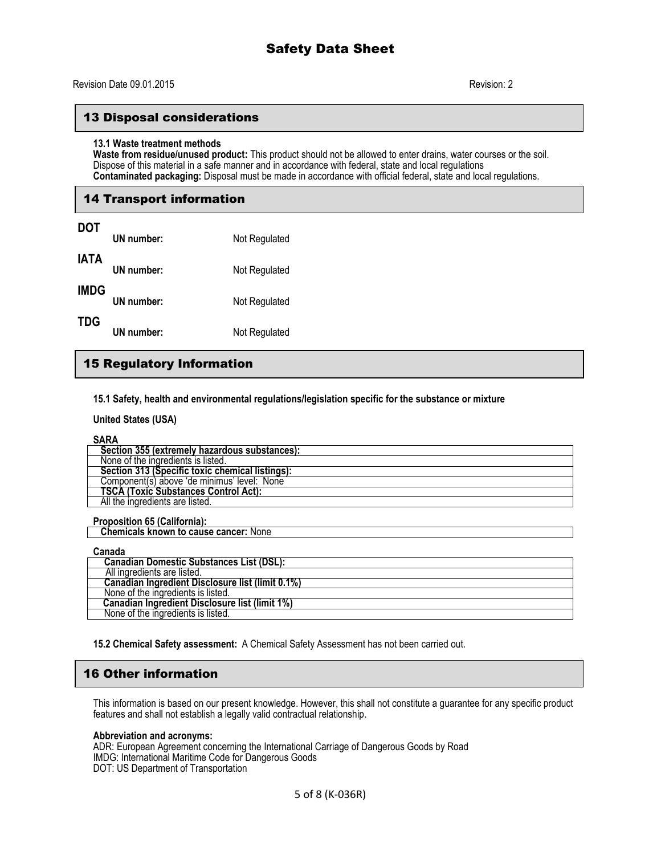# 13 Disposal considerations

#### **13.1 Waste treatment methods**

**Waste from residue/unused product:** This product should not be allowed to enter drains, water courses or the soil. Dispose of this material in a safe manner and in accordance with federal, state and local regulations **Contaminated packaging:** Disposal must be made in accordance with official federal, state and local regulations.

## 14 Transport information

| <b>DOT</b>  | UN number: | Not Regulated |
|-------------|------------|---------------|
| <b>IATA</b> | UN number: | Not Regulated |
| <b>IMDG</b> | UN number: | Not Regulated |
| TDG         | UN number: | Not Regulated |

# 15 Regulatory Information

**15.1 Safety, health and environmental regulations/legislation specific for the substance or mixture**

**United States (USA)**

#### **SARA**

| .                                               |
|-------------------------------------------------|
| Section 355 (extremely hazardous substances):   |
| None of the ingredients is listed.              |
| Section 313 (Specific toxic chemical listings): |
| Component(s) above 'de minimus' level: None     |
| <b>TSCA (Toxic Substances Control Act):</b>     |
| All the ingredients are listed.                 |
|                                                 |

**Proposition 65 (California): Chemicals known to cause cancer:** None

| Canada                                                |
|-------------------------------------------------------|
| <b>Canadian Domestic Substances List (DSL):</b>       |
| All ingredients are listed.                           |
| Canadian Ingredient Disclosure list (limit 0.1%)      |
| None of the ingredients is listed.                    |
| <b>Canadian Ingredient Disclosure list (limit 1%)</b> |
| None of the ingredients is listed.                    |

**15.2 Chemical Safety assessment:** A Chemical Safety Assessment has not been carried out.

# 16 Other information

This information is based on our present knowledge. However, this shall not constitute a guarantee for any specific product features and shall not establish a legally valid contractual relationship.

#### **Abbreviation and acronyms:**

ADR: European Agreement concerning the International Carriage of Dangerous Goods by Road IMDG: International Maritime Code for Dangerous Goods DOT: US Department of Transportation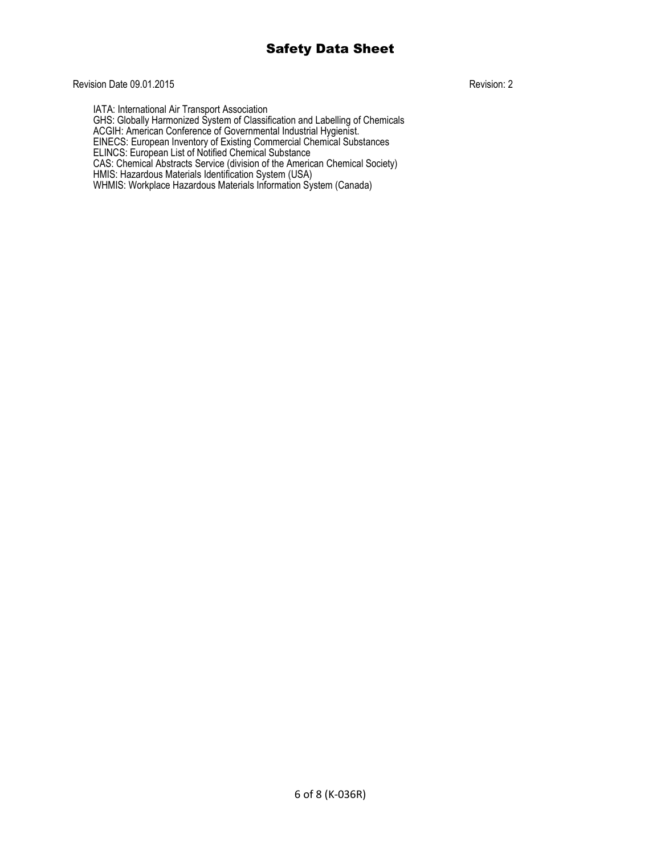# Revision Date 09.01.2015 Revision: 2

IATA: International Air Transport Association GHS: Globally Harmonized System of Classification and Labelling of Chemicals ACGIH: American Conference of Governmental Industrial Hygienist. EINECS: European Inventory of Existing Commercial Chemical Substances ELINCS: European List of Notified Chemical Substance CAS: Chemical Abstracts Service (division of the American Chemical Society) HMIS: Hazardous Materials Identification System (USA) WHMIS: Workplace Hazardous Materials Information System (Canada)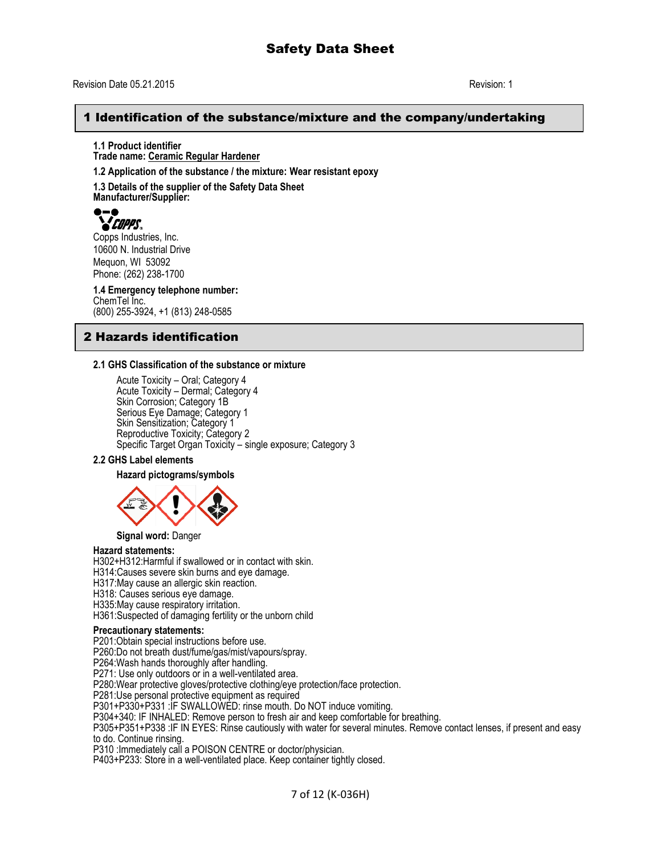## 1 Identification of the substance/mixture and the company/undertaking

**1.1 Product identifier Trade name: Ceramic Regular Hardener**

**1.2 Application of the substance / the mixture: Wear resistant epoxy** 

**1.3 Details of the supplier of the Safety Data Sheet Manufacturer/Supplier:**



Copps Industries, Inc. 10600 N. Industrial Drive Mequon, WI 53092 Phone: (262) 238-1700

**1.4 Emergency telephone number:** ChemTel Inc. (800) 255-3924, +1 (813) 248-0585

# 2 Hazards identification

#### **2.1 GHS Classification of the substance or mixture**

Acute Toxicity – Oral; Category 4 Acute Toxicity – Dermal; Category 4 Skin Corrosion; Category 1B Serious Eye Damage; Category 1 Skin Sensitization; Category 1 Reproductive Toxicity; Category 2 Specific Target Organ Toxicity – single exposure; Category 3

#### **2.2 GHS Label elements**

**Hazard pictograms/symbols**



**Signal word:** Danger

### **Hazard statements:**

H302+H312:Harmful if swallowed or in contact with skin.

H314:Causes severe skin burns and eye damage.

H317:May cause an allergic skin reaction.

H318: Causes serious eye damage.

H335:May cause respiratory irritation.

H361:Suspected of damaging fertility or the unborn child

#### **Precautionary statements:**

P201:Obtain special instructions before use.

P260:Do not breath dust/fume/gas/mist/vapours/spray.

P264:Wash hands thoroughly after handling.

P271: Use only outdoors or in a well-ventilated area.

P280:Wear protective gloves/protective clothing/eye protection/face protection.

P281:Use personal protective equipment as required

P301+P330+P331 :IF SWALLOWED: rinse mouth. Do NOT induce vomiting.

P304+340: IF INHALED: Remove person to fresh air and keep comfortable for breathing.

P305+P351+P338 :IF IN EYES: Rinse cautiously with water for several minutes. Remove contact lenses, if present and easy to do. Continue rinsing.

P310 :Immediately call a POISON CENTRE or doctor/physician.

P403+P233: Store in a well-ventilated place. Keep container tightly closed.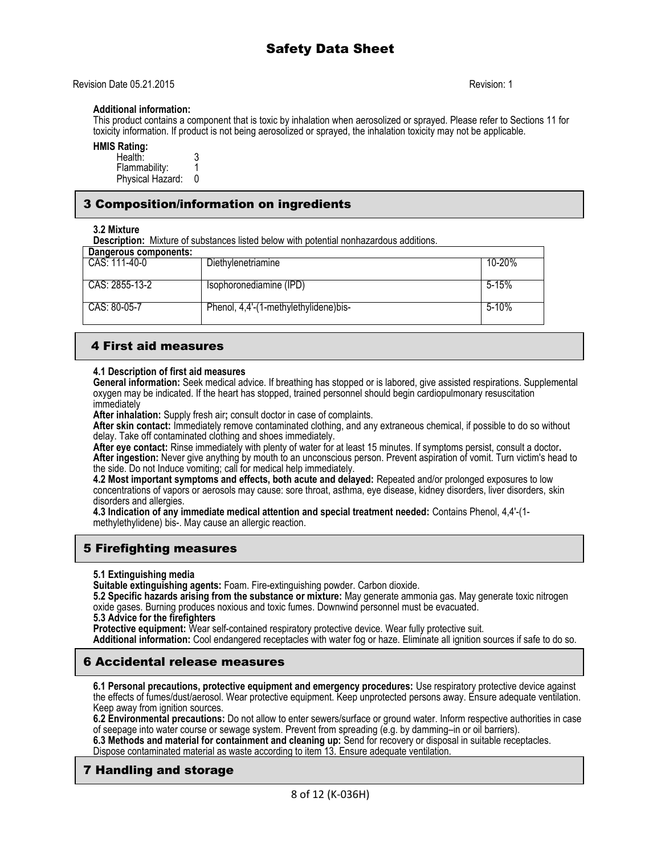Revision Date 05.21.2015 Revision: 1

### **Additional information:**

This product contains a component that is toxic by inhalation when aerosolized or sprayed. Please refer to Sections 11 for toxicity information. If product is not being aerosolized or sprayed, the inhalation toxicity may not be applicable.

## **HMIS Rating:**

| Health:          |  |
|------------------|--|
| Flammability:    |  |
| Physical Hazard: |  |

# 3 Composition/information on ingredients

**3.2 Mixture**

**Description:** Mixture of substances listed below with potential nonhazardous additions.

| Dangerous components: |                                       |           |
|-----------------------|---------------------------------------|-----------|
| CAS: 111-40-0         | Diethylenetriamine                    | 10-20%    |
| CAS: 2855-13-2        | Isophoronediamine (IPD)               | $5 - 15%$ |
| CAS: 80-05-7          | Phenol, 4,4'-(1-methylethylidene)bis- | $5 - 10%$ |

# 4 First aid measures

### **4.1 Description of first aid measures**

**General information:** Seek medical advice. If breathing has stopped or is labored, give assisted respirations. Supplemental oxygen may be indicated. If the heart has stopped, trained personnel should begin cardiopulmonary resuscitation immediately

**After inhalation:** Supply fresh air**;** consult doctor in case of complaints.

**After skin contact:** Immediately remove contaminated clothing, and any extraneous chemical, if possible to do so without delay. Take off contaminated clothing and shoes immediately.

**After eye contact:** Rinse immediately with plenty of water for at least 15 minutes. If symptoms persist, consult a doctor**. After ingestion:** Never give anything by mouth to an unconscious person. Prevent aspiration of vomit. Turn victim's head to the side. Do not Induce vomiting; call for medical help immediately.

**4.2 Most important symptoms and effects, both acute and delayed:** Repeated and/or prolonged exposures to low concentrations of vapors or aerosols may cause: sore throat, asthma, eye disease, kidney disorders, liver disorders, skin disorders and allergies.

**4.3 Indication of any immediate medical attention and special treatment needed:** Contains Phenol, 4,4'-(1 methylethylidene) bis-. May cause an allergic reaction.

# 5 Firefighting measures

**5.1 Extinguishing media**

**Suitable extinguishing agents:** Foam. Fire-extinguishing powder. Carbon dioxide.

**5.2 Specific hazards arising from the substance or mixture:** May generate ammonia gas. May generate toxic nitrogen oxide gases. Burning produces noxious and toxic fumes. Downwind personnel must be evacuated.

### **5.3 Advice for the firefighters**

**Protective equipment:** Wear self-contained respiratory protective device. Wear fully protective suit.

**Additional information:** Cool endangered receptacles with water fog or haze. Eliminate all ignition sources if safe to do so.

# 6 Accidental release measures

**6.1 Personal precautions, protective equipment and emergency procedures:** Use respiratory protective device against the effects of fumes/dust/aerosol. Wear protective equipment. Keep unprotected persons away. Ensure adequate ventilation. Keep away from ignition sources.

**6.2 Environmental precautions:** Do not allow to enter sewers/surface or ground water. Inform respective authorities in case of seepage into water course or sewage system. Prevent from spreading (e.g. by damming–in or oil barriers).

**6.3 Methods and material for containment and cleaning up:** Send for recovery or disposal in suitable receptacles. Dispose contaminated material as waste according to item 13. Ensure adequate ventilation.

# 7 Handling and storage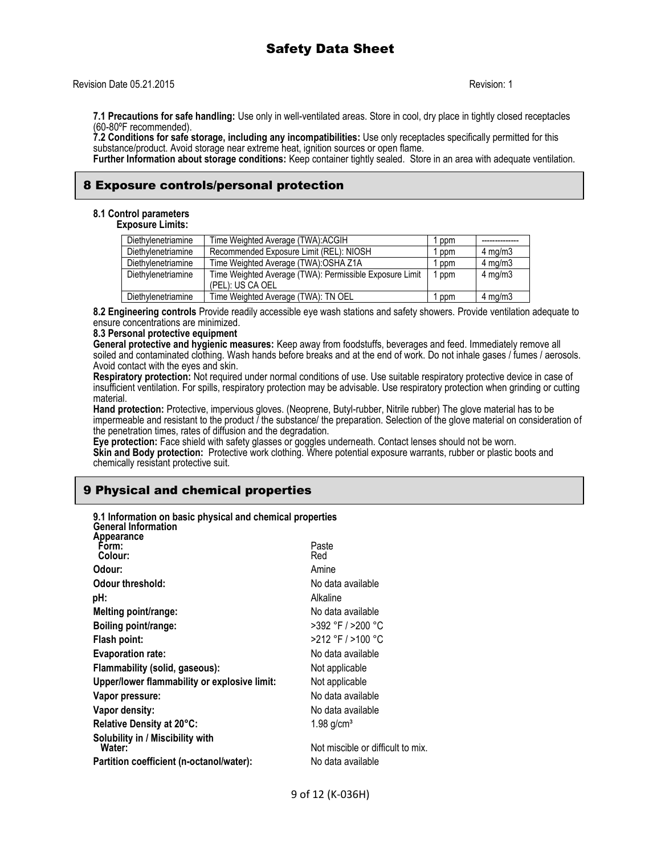#### Revision Date 05.21.2015 **Revision: 1**

**7.1 Precautions for safe handling:** Use only in well-ventilated areas. Store in cool, dry place in tightly closed receptacles (60-80ºF recommended).

**7.2 Conditions for safe storage, including any incompatibilities:** Use only receptacles specifically permitted for this substance/product. Avoid storage near extreme heat, ignition sources or open flame.

**Further Information about storage conditions:** Keep container tightly sealed. Store in an area with adequate ventilation.

## 8 Exposure controls/personal protection

#### **8.1 Control parameters Exposure Limits:**

| Diethylenetriamine | Time Weighted Average (TWA): ACGIH                      | ppm   |                  |
|--------------------|---------------------------------------------------------|-------|------------------|
| Diethylenetriamine | Recommended Exposure Limit (REL): NIOSH                 | ppm   | $4 \text{ mg/m}$ |
| Diethylenetriamine | Time Weighted Average (TWA): OSHA Z1A                   | ppm   | $4 \text{ mg/m}$ |
| Diethylenetriamine | Time Weighted Average (TWA): Permissible Exposure Limit | 1 ppm | $4 \text{ mg/m}$ |
|                    | (PEL): US CA OEL                                        |       |                  |
| Diethylenetriamine | Time Weighted Average (TWA): TN OEL                     | ppm   | $4 \text{ mg/m}$ |

**8.2 Engineering controls** Provide readily accessible eye wash stations and safety showers. Provide ventilation adequate to ensure concentrations are minimized.

### **8.3 Personal protective equipment**

**General protective and hygienic measures:** Keep away from foodstuffs, beverages and feed. Immediately remove all soiled and contaminated clothing. Wash hands before breaks and at the end of work. Do not inhale gases / fumes / aerosols. Avoid contact with the eyes and skin.

**Respiratory protection:** Not required under normal conditions of use. Use suitable respiratory protective device in case of insufficient ventilation. For spills, respiratory protection may be advisable. Use respiratory protection when grinding or cutting material.

**Hand protection:** Protective, impervious gloves. (Neoprene, Butyl-rubber, Nitrile rubber) The glove material has to be impermeable and resistant to the product / the substance/ the preparation. Selection of the glove material on consideration of the penetration times, rates of diffusion and the degradation.

**Eye protection:** Face shield with safety glasses or goggles underneath. Contact lenses should not be worn.

**Skin and Body protection:** Protective work clothing. Where potential exposure warrants, rubber or plastic boots and chemically resistant protective suit.

# 9 Physical and chemical properties

| 9.1 Information on basic physical and chemical properties<br><b>General Information</b> |                                   |
|-----------------------------------------------------------------------------------------|-----------------------------------|
| Appearance<br>Form:<br>Colour:                                                          | Paste<br>Red                      |
| Odour:                                                                                  | Amine                             |
| Odour threshold:                                                                        | No data available                 |
| pH:                                                                                     | Alkaline                          |
| Melting point/range:                                                                    | No data available                 |
| Boiling point/range:                                                                    | $>392$ °F / $>200$ °C             |
| Flash point:                                                                            | $>212$ °F / $>100$ °C             |
| <b>Evaporation rate:</b>                                                                | No data available                 |
| Flammability (solid, gaseous):                                                          | Not applicable                    |
| Upper/lower flammability or explosive limit:                                            | Not applicable                    |
| Vapor pressure:                                                                         | No data available                 |
| Vapor density:                                                                          | No data available                 |
| Relative Density at 20°C:                                                               | $1.98$ g/cm <sup>3</sup>          |
| Solubility in / Miscibility with<br>Water:                                              | Not miscible or difficult to mix. |
| Partition coefficient (n-octanol/water):                                                | No data available                 |
|                                                                                         |                                   |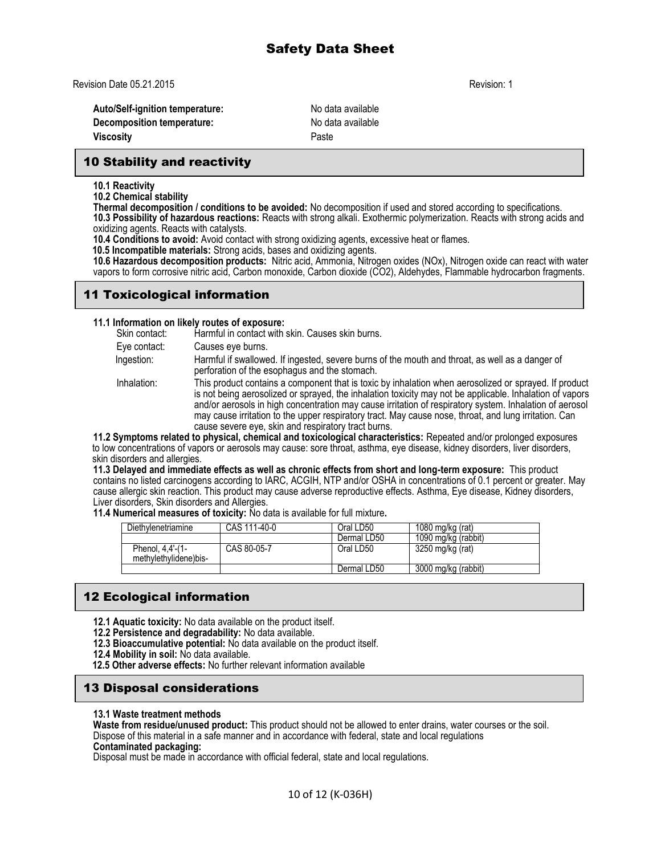Revision Date 05.21.2015 **Revision: 1** 

Auto/Self-ignition temperature: No data available **Decomposition temperature:** No data available **Viscosity Paste** 

# 10 Stability and reactivity

**10.1 Reactivity**

**10.2 Chemical stability**

**Thermal decomposition / conditions to be avoided:** No decomposition if used and stored according to specifications. **10.3 Possibility of hazardous reactions:** Reacts with strong alkali. Exothermic polymerization. Reacts with strong acids and

oxidizing agents. Reacts with catalysts.

**10.4 Conditions to avoid:** Avoid contact with strong oxidizing agents, excessive heat or flames.

 **10.5 Incompatible materials:** Strong acids, bases and oxidizing agents.

**10.6 Hazardous decomposition products:** Nitric acid, Ammonia, Nitrogen oxides (NOx), Nitrogen oxide can react with water vapors to form corrosive nitric acid, Carbon monoxide, Carbon dioxide (CO2), Aldehydes, Flammable hydrocarbon fragments.

# 11 Toxicological information

### **11.1 Information on likely routes of exposure:**

|               | THE MUSLIMANSH SH MASH TSANSS SESSION OF                                                                                                                                                                                                                                                                                                                                                                                                                                                     |
|---------------|----------------------------------------------------------------------------------------------------------------------------------------------------------------------------------------------------------------------------------------------------------------------------------------------------------------------------------------------------------------------------------------------------------------------------------------------------------------------------------------------|
| Skin contact: | Harmful in contact with skin. Causes skin burns.                                                                                                                                                                                                                                                                                                                                                                                                                                             |
| Eye contact:  | Causes eye burns.                                                                                                                                                                                                                                                                                                                                                                                                                                                                            |
| Ingestion:    | Harmful if swallowed. If ingested, severe burns of the mouth and throat, as well as a danger of<br>perforation of the esophagus and the stomach.                                                                                                                                                                                                                                                                                                                                             |
| Inhalation:   | This product contains a component that is toxic by inhalation when aerosolized or sprayed. If product<br>is not being aerosolized or sprayed, the inhalation toxicity may not be applicable. Inhalation of vapors<br>and/or aerosols in high concentration may cause irritation of respiratory system. Inhalation of aerosol<br>may cause irritation to the upper respiratory tract. May cause nose, throat, and lung irritation. Can<br>cause severe eye, skin and respiratory tract burns. |
|               | 11.2 Symptoms related to physical, chemical and toxicological characteristics: Repeated and/or prolonged exposures                                                                                                                                                                                                                                                                                                                                                                           |

to low concentrations of vapors or aerosols may cause: sore throat, asthma, eye disease, kidney disorders, liver disorders, skin disorders and allergies.

**11.3 Delayed and immediate effects as well as chronic effects from short and long-term exposure:** This product contains no listed carcinogens according to IARC, ACGIH, NTP and/or OSHA in concentrations of 0.1 percent or greater. May cause allergic skin reaction. This product may cause adverse reproductive effects. Asthma, Eye disease, Kidney disorders, Liver disorders, Skin disorders and Allergies.

**11.4 Numerical measures of toxicity:** No data is available for full mixture**.** 

| Diethylenetriamine                        | CAS 111-40-0 | Oral LD50   | 1080 mg/kg (rat)    |
|-------------------------------------------|--------------|-------------|---------------------|
|                                           |              | Dermal LD50 | 1090 mg/kg (rabbit) |
| Phenol, 4,4'-(1-<br>methylethylidene)bis- | CAS 80-05-7  | Oral LD50   | 3250 mg/kg (rat)    |
|                                           |              | Dermal LD50 | 3000 mg/kg (rabbit) |

# 12 Ecological information

- **12.1 Aquatic toxicity:** No data available on the product itself.
- **12.2 Persistence and degradability:** No data available.
- **12.3 Bioaccumulative potential:** No data available on the product itself.
- **12.4 Mobility in soil:** No data available.
- **12.5 Other adverse effects:** No further relevant information available

# 13 Disposal considerations

### **13.1 Waste treatment methods**

**Waste from residue/unused product:** This product should not be allowed to enter drains, water courses or the soil. Dispose of this material in a safe manner and in accordance with federal, state and local regulations

### **Contaminated packaging:**

Disposal must be made in accordance with official federal, state and local regulations.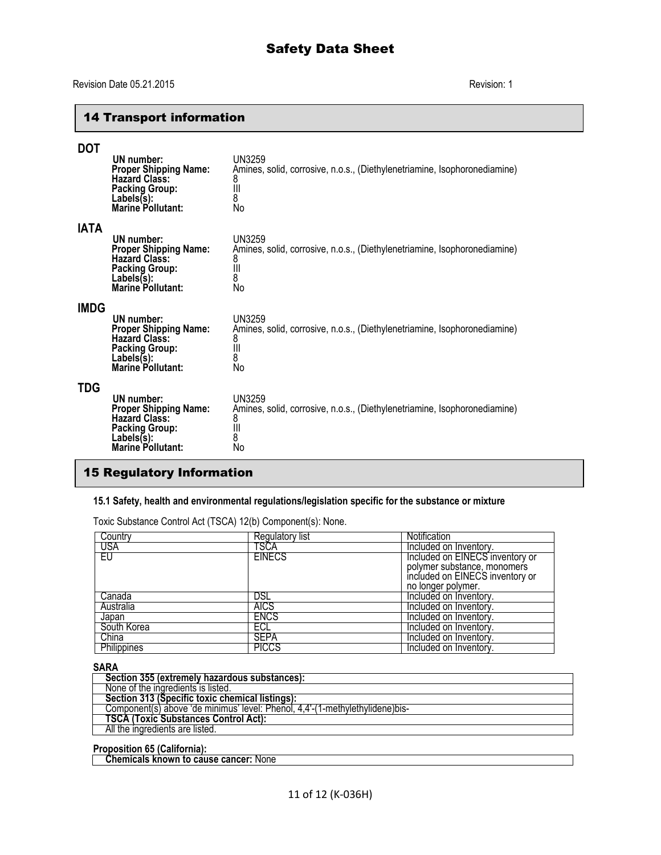## Revision Date 05.21.2015 Revision: 1

# 14 Transport information

| <b>DOT</b>  | UN number:<br><b>Proper Shipping Name:</b><br><b>Hazard Class:</b><br><b>Packing Group:</b><br>$Labels(s)$ :<br><b>Marine Pollutant:</b> | UN3259<br>Amines, solid, corrosive, n.o.s., (Diethylenetriamine, Isophoronediamine)<br>8<br>$\parallel$<br>8<br>No        |
|-------------|------------------------------------------------------------------------------------------------------------------------------------------|---------------------------------------------------------------------------------------------------------------------------|
| <b>IATA</b> | UN number:<br><b>Proper Shipping Name:</b><br><b>Hazard Class:</b><br><b>Packing Group:</b><br>Lables(s):<br><b>Marine Pollutant:</b>    | <b>UN3259</b><br>Amines, solid, corrosive, n.o.s., (Diethylenetriamine, Isophoronediamine)<br>8<br>$\parallel$<br>8<br>No |
| <b>IMDG</b> | UN number:<br><b>Proper Shipping Name:</b><br><b>Hazard Class:</b><br><b>Packing Group:</b><br>Lables(s):<br>Marine Pollutant:           | <b>UN3259</b><br>Amines, solid, corrosive, n.o.s., (Diethylenetriamine, Isophoronediamine)<br>8<br>$\parallel$<br>8<br>No |
| <b>TDG</b>  | UN number:<br><b>Proper Shipping Name:</b><br><b>Hazard Class:</b><br><b>Packing Group:</b><br>Lables(s):<br><b>Marine Pollutant:</b>    | UN3259<br>Amines, solid, corrosive, n.o.s., (Diethylenetriamine, Isophoronediamine)<br>8<br>$\mathbf{  }$<br>8<br>No      |

# 15 Regulatory Information

## **15.1 Safety, health and environmental regulations/legislation specific for the substance or mixture**

Toxic Substance Control Act (TSCA) 12(b) Component(s): None.

| Country     | Regulatory list | <b>Notification</b>             |
|-------------|-----------------|---------------------------------|
| USA         | TSCA            | Included on Inventory.          |
| ΕU          | <b>EINECS</b>   | Included on EINECS inventory or |
|             |                 | polymer substance, monomers     |
|             |                 | included on EINECS inventory or |
|             |                 | no longer polymer.              |
| Canada      | DSL             | Included on Inventory.          |
| Australia   | <b>AICS</b>     | Included on Inventory.          |
| Japan       | <b>ENCS</b>     | Included on Inventory.          |
| South Korea | ECL             | Included on Inventory.          |
| China       | <b>SEPA</b>     | Included on Inventory.          |
| Philippines | <b>PICCS</b>    | Included on Inventory.          |

#### **SARA**

| Section 355 (extremely hazardous substances):                                |  |
|------------------------------------------------------------------------------|--|
| None of the ingredients is listed.                                           |  |
| Section 313 (Specific toxic chemical listings):                              |  |
| Component(s) above 'de minimus' level: Phenol. 4.4'-(1-methylethylidene)bis- |  |
| <b>TSCA (Toxic Substances Control Act):</b>                                  |  |
| All the ingredients are listed.                                              |  |
|                                                                              |  |

**Proposition 65 (California):**

 **Chemicals known to cause cancer:** None